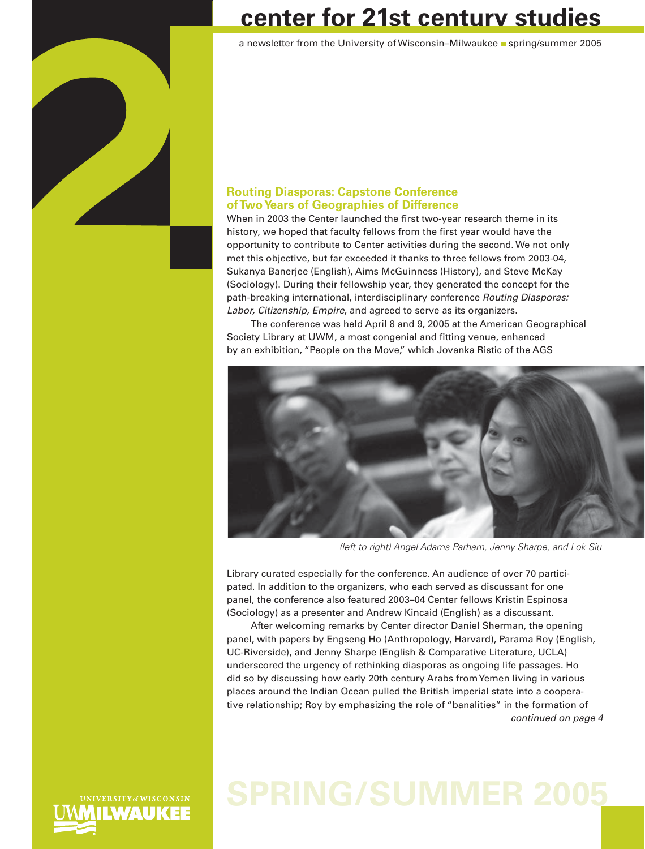

## **center for 21st century studies**

a newsletter from the University of Wisconsin–Milwaukee spring/summer 2005

### **Routing Diasporas: Capstone Conference of Two Years of Geographies of Difference**

When in 2003 the Center launched the first two-year research theme in its history, we hoped that faculty fellows from the first year would have the opportunity to contribute to Center activities during the second. We not only met this objective, but far exceeded it thanks to three fellows from 2003-04, Sukanya Banerjee (English), Aims McGuinness (History), and Steve McKay (Sociology). During their fellowship year, they generated the concept for the path-breaking international, interdisciplinary conference *Routing Diasporas: Labor, Citizenship, Empire*, and agreed to serve as its organizers.

The conference was held April 8 and 9, 2005 at the American Geographical Society Library at UWM, a most congenial and fitting venue, enhanced by an exhibition, "People on the Move," which Jovanka Ristic of the AGS



*(left to right) Angel Adams Parham, Jenny Sharpe, and Lok Siu* 

Library curated especially for the conference. An audience of over 70 participated. In addition to the organizers, who each served as discussant for one panel, the conference also featured 2003–04 Center fellows Kristin Espinosa (Sociology) as a presenter and Andrew Kincaid (English) as a discussant.

After welcoming remarks by Center director Daniel Sherman, the opening panel, with papers by Engseng Ho (Anthropology, Harvard), Parama Roy (English, UC-Riverside), and Jenny Sharpe (English & Comparative Literature, UCLA) underscored the urgency of rethinking diasporas as ongoing life passages. Ho did so by discussing how early 20th century Arabs from Yemen living in various places around the Indian Ocean pulled the British imperial state into a cooperative relationship; Roy by emphasizing the role of "banalities" in the formation of *continued on page 4*

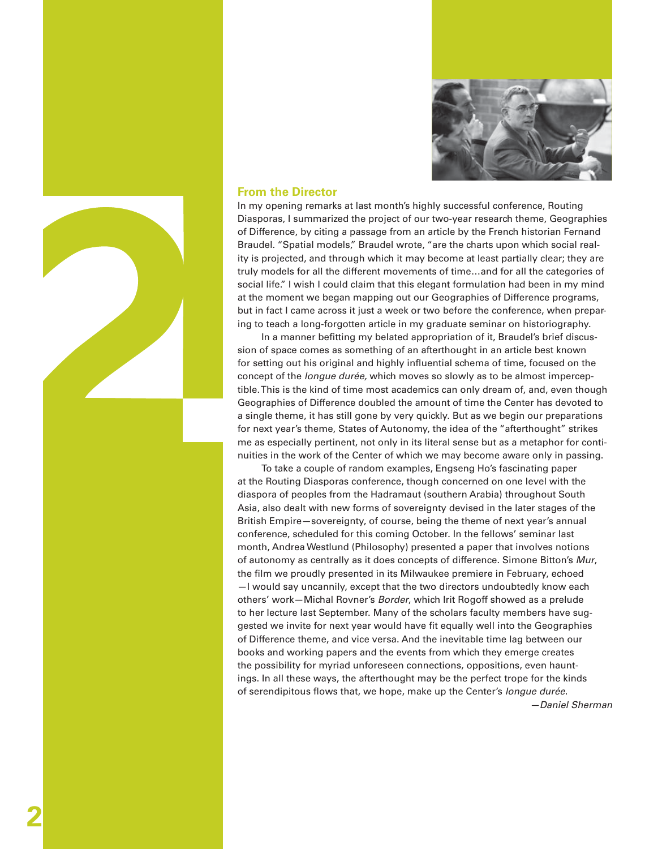

### **From the Director**

In my opening remarks at last month's highly successful conference, Routing Diasporas, I summarized the project of our two-year research theme, Geographies of Difference, by citing a passage from an article by the French historian Fernand Braudel. "Spatial models," Braudel wrote, "are the charts upon which social reality is projected, and through which it may become at least partially clear; they are truly models for all the different movements of time…and for all the categories of social life." I wish I could claim that this elegant formulation had been in my mind at the moment we began mapping out our Geographies of Difference programs, but in fact I came across it just a week or two before the conference, when preparing to teach a long-forgotten article in my graduate seminar on historiography.

In a manner befitting my belated appropriation of it, Braudel's brief discussion of space comes as something of an afterthought in an article best known for setting out his original and highly influential schema of time, focused on the concept of the *longue durée,* which moves so slowly as to be almost imperceptible. This is the kind of time most academics can only dream of, and, even though Geographies of Difference doubled the amount of time the Center has devoted to a single theme, it has still gone by very quickly. But as we begin our preparations for next year's theme, States of Autonomy, the idea of the "afterthought" strikes me as especially pertinent, not only in its literal sense but as a metaphor for continuities in the work of the Center of which we may become aware only in passing.

To take a couple of random examples, Engseng Ho's fascinating paper at the Routing Diasporas conference, though concerned on one level with the diaspora of peoples from the Hadramaut (southern Arabia) throughout South Asia, also dealt with new forms of sovereignty devised in the later stages of the British Empire—sovereignty, of course, being the theme of next year's annual conference, scheduled for this coming October. In the fellows' seminar last month, Andrea Westlund (Philosophy) presented a paper that involves notions of autonomy as centrally as it does concepts of difference. Simone Bitton's *Mur*, the film we proudly presented in its Milwaukee premiere in February, echoed —I would say uncannily, except that the two directors undoubtedly know each others' work—Michal Rovner's *Border*, which Irit Rogoff showed as a prelude to her lecture last September. Many of the scholars faculty members have suggested we invite for next year would have fit equally well into the Geographies of Difference theme, and vice versa. And the inevitable time lag between our books and working papers and the events from which they emerge creates the possibility for myriad unforeseen connections, oppositions, even hauntings. In all these ways, the afterthought may be the perfect trope for the kinds of serendipitous flows that, we hope, make up the Center's *longue durée*. *—Daniel Sherman*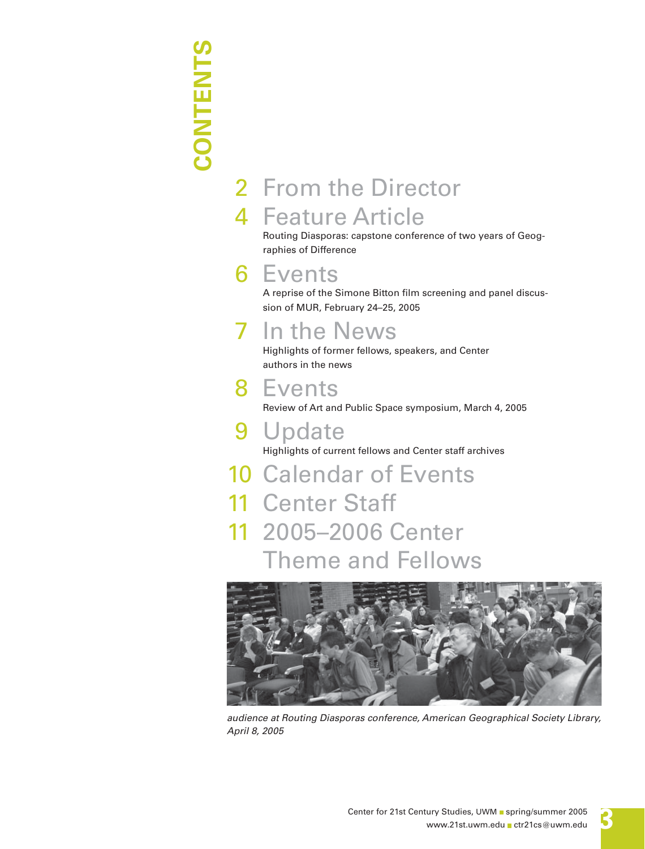# **CONTENTS CONTENTS**

## 2 From the Director 4 Feature Article

Routing Diasporas: capstone conference of two years of Geographies of Difference

## 6 Events

A reprise of the Simone Bitton film screening and panel discussion of MUR, February 24–25, 2005

## In the News

Highlights of former fellows, speakers, and Center authors in the news

## 8 Events

Review of Art and Public Space symposium, March 4, 2005

### 9 Update

Highlights of current fellows and Center staff archives

10 Calendar of Events 11 Center Staff 11 2005–2006 Center Theme and Fellows



*audience at Routing Diasporas conference, American Geographical Society Library, April 8, 2005*

**3**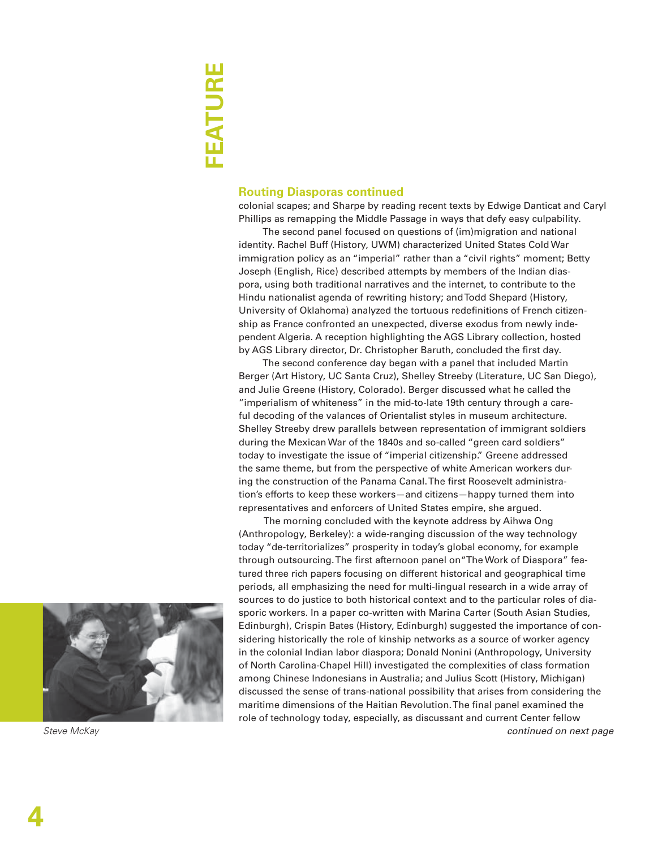### **Routing Diasporas continued**

colonial scapes; and Sharpe by reading recent texts by Edwige Danticat and Caryl Phillips as remapping the Middle Passage in ways that defy easy culpability.

The second panel focused on questions of (im)migration and national identity. Rachel Buff (History, UWM) characterized United States Cold War immigration policy as an "imperial" rather than a "civil rights" moment; Betty Joseph (English, Rice) described attempts by members of the Indian diaspora, using both traditional narratives and the internet, to contribute to the Hindu nationalist agenda of rewriting history; and Todd Shepard (History, University of Oklahoma) analyzed the tortuous redefinitions of French citizenship as France confronted an unexpected, diverse exodus from newly independent Algeria. A reception highlighting the AGS Library collection, hosted by AGS Library director, Dr. Christopher Baruth, concluded the first day.

The second conference day began with a panel that included Martin Berger (Art History, UC Santa Cruz), Shelley Streeby (Literature, UC San Diego), and Julie Greene (History, Colorado). Berger discussed what he called the "imperialism of whiteness" in the mid-to-late 19th century through a careful decoding of the valances of Orientalist styles in museum architecture. Shelley Streeby drew parallels between representation of immigrant soldiers during the Mexican War of the 1840s and so-called "green card soldiers" today to investigate the issue of "imperial citizenship." Greene addressed the same theme, but from the perspective of white American workers during the construction of the Panama Canal. The first Roosevelt administration's efforts to keep these workers—and citizens—happy turned them into representatives and enforcers of United States empire, she argued.

 The morning concluded with the keynote address by Aihwa Ong (Anthropology, Berkeley): a wide-ranging discussion of the way technology today "de-territorializes" prosperity in today's global economy, for example through outsourcing. The first afternoon panel on "The Work of Diaspora" featured three rich papers focusing on different historical and geographical time periods, all emphasizing the need for multi-lingual research in a wide array of sources to do justice to both historical context and to the particular roles of diasporic workers. In a paper co-written with Marina Carter (South Asian Studies, Edinburgh), Crispin Bates (History, Edinburgh) suggested the importance of considering historically the role of kinship networks as a source of worker agency in the colonial Indian labor diaspora; Donald Nonini (Anthropology, University of North Carolina-Chapel Hill) investigated the complexities of class formation among Chinese Indonesians in Australia; and Julius Scott (History, Michigan) discussed the sense of trans-national possibility that arises from considering the maritime dimensions of the Haitian Revolution. The final panel examined the role of technology today, especially, as discussant and current Center fellow



*Steve McKay*

*continued on next page*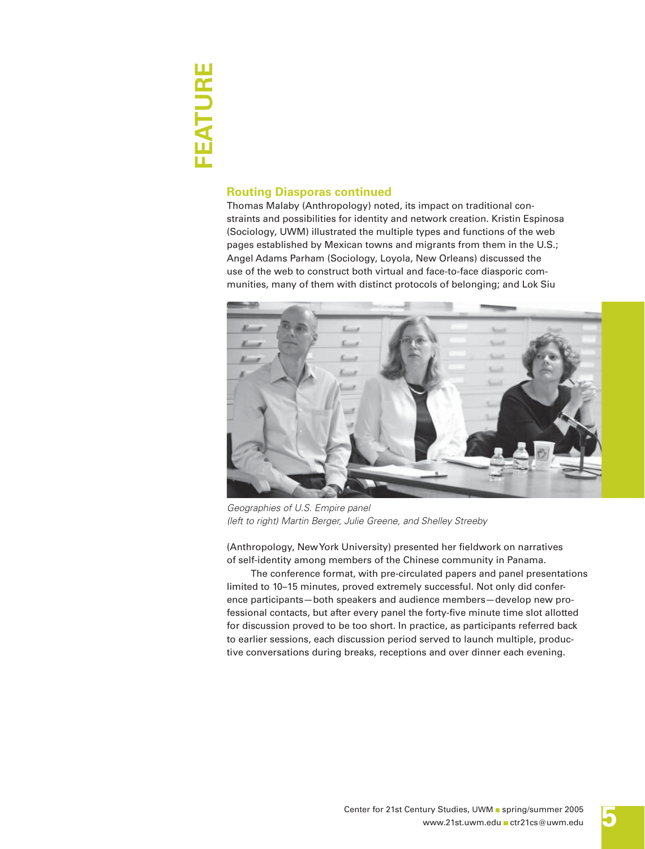# **FEATURE** FEATURE

### **Routing Diasporas continued**

Thomas Malaby (Anthropology) noted, its impact on traditional constraints and possibilities for identity and network creation. Kristin Espinosa (Sociology, UWM) illustrated the multiple types and functions of the web pages established by Mexican towns and migrants from them in the U.S.; Angel Adams Parham (Sociology, Loyola, New Orleans) discussed the use of the web to construct both virtual and face-to-face diasporic communities, many of them with distinct protocols of belonging; and Lok Siu



*Geographies of U.S. Empire panel (left to right) Martin Berger, Julie Greene, and Shelley Streeby*

(Anthropology, New York University) presented her fieldwork on narratives of self-identity among members of the Chinese community in Panama.

The conference format, with pre-circulated papers and panel presentations limited to 10–15 minutes, proved extremely successful. Not only did conference participants—both speakers and audience members—develop new professional contacts, but after every panel the forty-five minute time slot allotted for discussion proved to be too short. In practice, as participants referred back to earlier sessions, each discussion period served to launch multiple, productive conversations during breaks, receptions and over dinner each evening.

**5**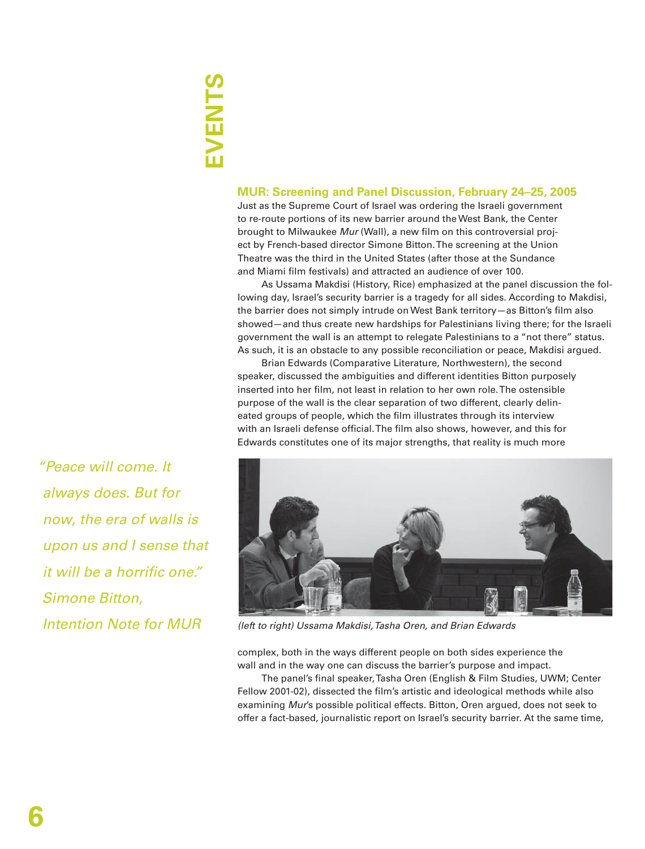# **EVENTS**

### **MUR: Screening and Panel Discussion, February 24–25, 2005**

Just as the Supreme Court of Israel was ordering the Israeli government to re-route portions of its new barrier around the West Bank, the Center brought to Milwaukee *Mur* (Wall), a new film on this controversial project by French-based director Simone Bitton. The screening at the Union Theatre was the third in the United States (after those at the Sundance and Miami film festivals) and attracted an audience of over 100.

As Ussama Makdisi (History, Rice) emphasized at the panel discussion the following day, Israel's security barrier is a tragedy for all sides. According to Makdisi, the barrier does not simply intrude on West Bank territory-as Bitton's film also showed—and thus create new hardships for Palestinians living there; for the Israeli government the wall is an attempt to relegate Palestinians to a "not there" status. As such, it is an obstacle to any possible reconciliation or peace, Makdisi argued.

Brian Edwards (Comparative Literature, Northwestern), the second speaker, discussed the ambiguities and different identities Bitton purposely inserted into her film, not least in relation to her own role. The ostensible purpose of the wall is the clear separation of two different, clearly delineated groups of people, which the film illustrates through its interview with an Israeli defense official. The film also shows, however, and this for Edwards constitutes one of its major strengths, that reality is much more



*(left to right) Ussama Makdisi, Tasha Oren, and Brian Edwards*

complex, both in the ways different people on both sides experience the wall and in the way one can discuss the barrier's purpose and impact.

The panel's final speaker, Tasha Oren (English & Film Studies, UWM; Center Fellow 2001-02), dissected the film's artistic and ideological methods while also examining *Mur*'s possible political effects. Bitton, Oren argued, does not seek to offer a fact-based, journalistic report on Israel's security barrier. At the same time,

*"Peace will come. It always does. But for now, the era of walls is upon us and I sense that it will be a horrific one." Simone Bitton, Intention Note for MUR*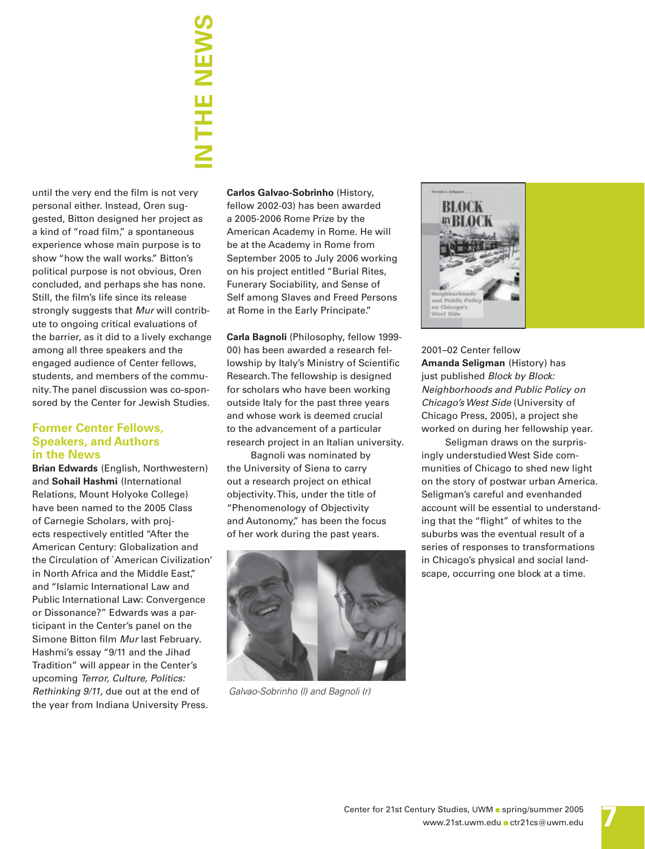# **IN THE NEWS** —<br>H<br>H

until the very end the film is not very personal either. Instead, Oren suggested, Bitton designed her project as a kind of "road film," a spontaneous experience whose main purpose is to show "how the wall works." Bitton's political purpose is not obvious, Oren concluded, and perhaps she has none. Still, the film's life since its release strongly suggests that *Mur* will contribute to ongoing critical evaluations of the barrier, as it did to a lively exchange among all three speakers and the engaged audience of Center fellows, students, and members of the community. The panel discussion was co-sponsored by the Center for Jewish Studies.

### **Former Center Fellows, Speakers, and Authors in the News**

**Brian Edwards** (English, Northwestern) and **Sohail Hashmi** (International Relations, Mount Holyoke College) have been named to the 2005 Class of Carnegie Scholars, with projects respectively entitled "After the American Century: Globalization and the Circulation of `American Civilization' in North Africa and the Middle East." and "Islamic International Law and Public International Law: Convergence or Dissonance?" Edwards was a participant in the Center's panel on the Simone Bitton film Mur last February. Hashmi's essay "9/11 and the Jihad Tradition" will appear in the Center's upcoming *Terror, Culture, Politics: Rethinking 9/11,* due out at the end of the year from Indiana University Press.

**Carlos Galvao-Sobrinho** (History, fellow 2002-03) has been awarded a 2005-2006 Rome Prize by the American Academy in Rome. He will be at the Academy in Rome from September 2005 to July 2006 working on his project entitled "Burial Rites, Funerary Sociability, and Sense of Self among Slaves and Freed Persons at Rome in the Early Principate."

**Carla Bagnoli** (Philosophy, fellow 1999- 00) has been awarded a research fellowship by Italy's Ministry of Scientific Research. The fellowship is designed for scholars who have been working outside Italy for the past three years and whose work is deemed crucial to the advancement of a particular research project in an Italian university.

Bagnoli was nominated by the University of Siena to carry out a research project on ethical objectivity. This, under the title of "Phenomenology of Objectivity and Autonomy," has been the focus of her work during the past years.



*Galvao-Sobrinho (l) and Bagnoli (r)*



2001–02 Center fellow **Amanda Seligman** (History) has just published *Block by Block: Neighborhoods and Public Policy on Chicago's West Side* (University of Chicago Press, 2005), a project she worked on during her fellowship year.

Seligman draws on the surprisingly understudied West Side communities of Chicago to shed new light on the story of postwar urban America. Seligman's careful and evenhanded account will be essential to understanding that the "flight" of whites to the suburbs was the eventual result of a series of responses to transformations in Chicago's physical and social landscape, occurring one block at a time.

**7**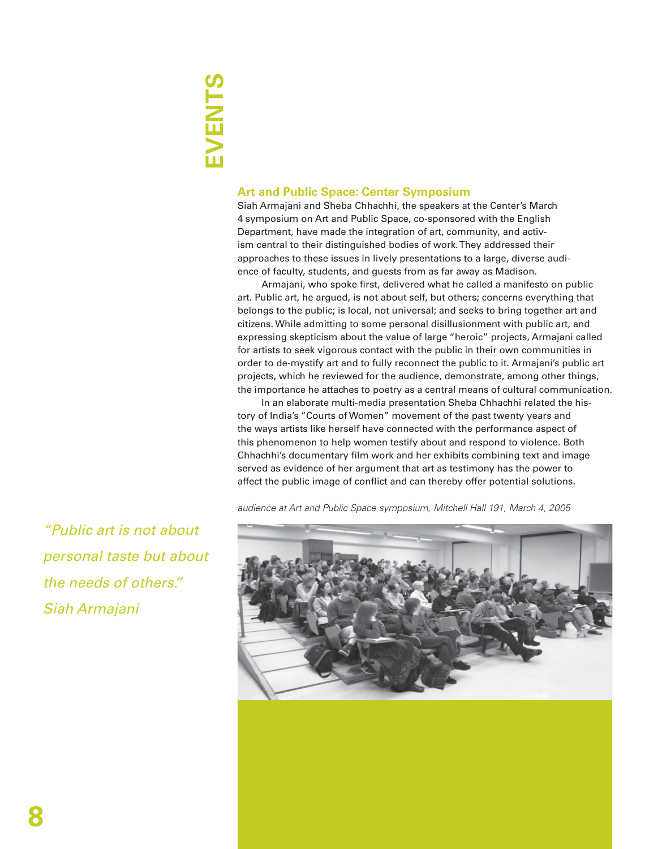## **EVENTS**  EVENTS

### **Art and Public Space: Center Symposium**

Siah Armajani and Sheba Chhachhi, the speakers at the Center's March 4 symposium on Art and Public Space, co-sponsored with the English Department, have made the integration of art, community, and activism central to their distinguished bodies of work. They addressed their approaches to these issues in lively presentations to a large, diverse audience of faculty, students, and guests from as far away as Madison.

Armajani, who spoke first, delivered what he called a manifesto on public art. Public art, he argued, is not about self, but others; concerns everything that belongs to the public; is local, not universal; and seeks to bring together art and citizens. While admitting to some personal disillusionment with public art, and expressing skepticism about the value of large "heroic" projects, Armajani called for artists to seek vigorous contact with the public in their own communities in order to de-mystify art and to fully reconnect the public to it. Armajani's public art projects, which he reviewed for the audience, demonstrate, among other things, the importance he attaches to poetry as a central means of cultural communication.

In an elaborate multi-media presentation Sheba Chhachhi related the history of India's "Courts of Women" movement of the past twenty years and the ways artists like herself have connected with the performance aspect of this phenomenon to help women testify about and respond to violence. Both Chhachhi's documentary film work and her exhibits combining text and image served as evidence of her argument that art as testimony has the power to affect the public image of conflict and can thereby offer potential solutions.



*audience at Art and Public Space symposium, Mitchell Hall 191, March 4, 2005*

*"Public art is not about personal taste but about the needs of others." Siah Armajani*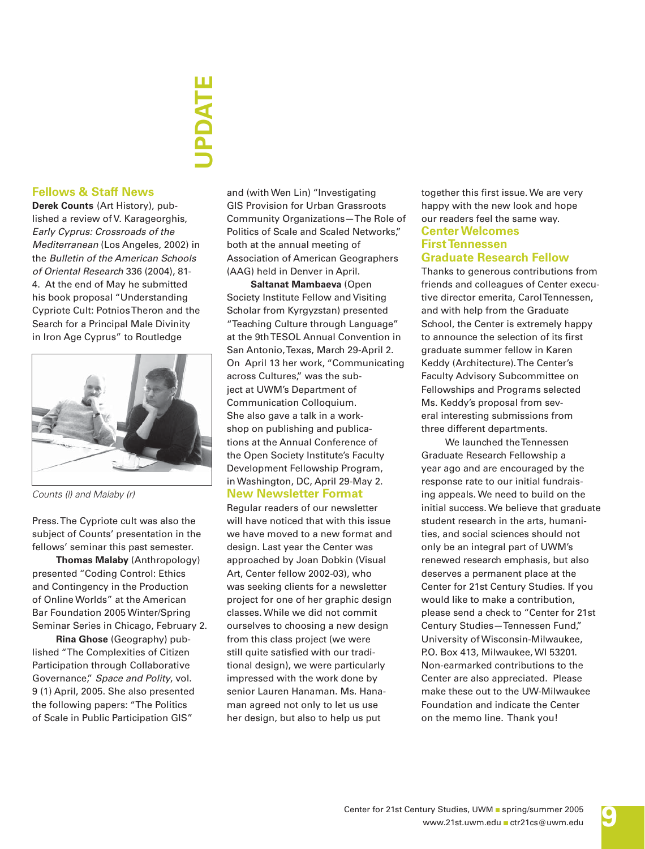# **UPDATE**

### **Fellows & Staff News**

**Derek Counts** (Art History), published a review of V. Karageorghis, *Early Cyprus: Crossroads of the Mediterranean* (Los Angeles, 2002) in the *Bulletin of the American Schools of Oriental Research* 336 (2004), 81- 4. At the end of May he submitted his book proposal "Understanding Cypriote Cult: Potnios Theron and the Search for a Principal Male Divinity in Iron Age Cyprus" to Routledge



Press. The Cypriote cult was also the subject of Counts' presentation in the fellows' seminar this past semester.

**Thomas Malaby** (Anthropology) presented "Coding Control: Ethics and Contingency in the Production of Online Worlds" at the American Bar Foundation 2005 Winter/Spring Seminar Series in Chicago, February 2.

**Rina Ghose** (Geography) published "The Complexities of Citizen Participation through Collaborative Governance," *Space and Polity*, vol. 9 (1) April, 2005. She also presented the following papers: "The Politics of Scale in Public Participation GIS"

and (with Wen Lin) "Investigating GIS Provision for Urban Grassroots Community Organizations—The Role of Politics of Scale and Scaled Networks," both at the annual meeting of Association of American Geographers (AAG) held in Denver in April.

**Saltanat Mambaeva** (Open Society Institute Fellow and Visiting Scholar from Kyrgyzstan) presented "Teaching Culture through Language" at the 9th TESOL Annual Convention in San Antonio, Texas, March 29-April 2. On April 13 her work, "Communicating across Cultures," was the subject at UWM's Department of Communication Colloquium. She also gave a talk in a workshop on publishing and publications at the Annual Conference of the Open Society Institute's Faculty Development Fellowship Program, in Washington, DC, April 29-May 2. *Counts (I) and Malaby (r)* **New Newsletter Format** 

> Regular readers of our newsletter will have noticed that with this issue we have moved to a new format and design. Last year the Center was approached by Joan Dobkin (Visual Art, Center fellow 2002-03), who was seeking clients for a newsletter project for one of her graphic design classes. While we did not commit ourselves to choosing a new design from this class project (we were still quite satisfied with our traditional design), we were particularly impressed with the work done by senior Lauren Hanaman. Ms. Hanaman agreed not only to let us use her design, but also to help us put

**Center Welcomes First Tennessen Graduate Research Fellow** together this first issue. We are very happy with the new look and hope our readers feel the same way.

Thanks to generous contributions from friends and colleagues of Center executive director emerita, Carol Tennessen, and with help from the Graduate School, the Center is extremely happy to announce the selection of its first graduate summer fellow in Karen Keddy (Architecture). The Center's Faculty Advisory Subcommittee on Fellowships and Programs selected Ms. Keddy's proposal from several interesting submissions from three different departments.

We launched the Tennessen Graduate Research Fellowship a year ago and are encouraged by the response rate to our initial fundraising appeals. We need to build on the initial success. We believe that graduate student research in the arts, humanities, and social sciences should not only be an integral part of UWM's renewed research emphasis, but also deserves a permanent place at the Center for 21st Century Studies. If you would like to make a contribution, please send a check to "Center for 21st Century Studies—Tennessen Fund," University of Wisconsin-Milwaukee, P.O. Box 413, Milwaukee, WI 53201. Non-earmarked contributions to the Center are also appreciated. Please make these out to the UW-Milwaukee Foundation and indicate the Center on the memo line. Thank you!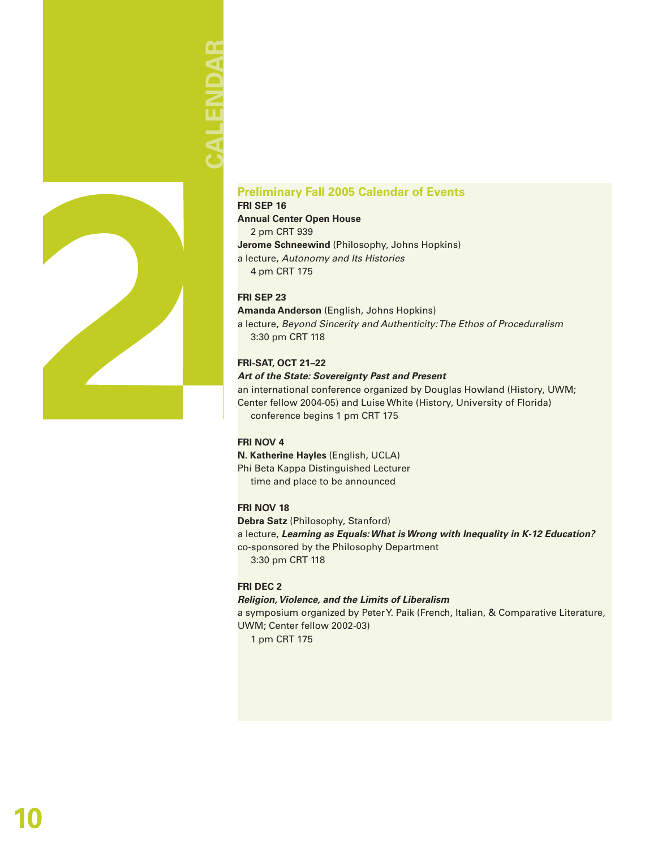# AI FNDAR **CALENDAR**



### **Preliminary Fall 2005 Calendar of Events**

**FRI SEP 16 Annual Center Open House** 2 pm CRT 939 **Jerome Schneewind** (Philosophy, Johns Hopkins) a lecture, *Autonomy and Its Histories* 4 pm CRT 175

### **FRI SEP 23**

**Amanda Anderson** (English, Johns Hopkins) a lecture, *Beyond Sincerity and Authenticity: The Ethos of Proceduralism* 3:30 pm CRT 118

### **FRI-SAT, OCT 21–22**

#### *Art of the State: Sovereignty Past and Present*

an international conference organized by Douglas Howland (History, UWM; Center fellow 2004-05) and Luise White (History, University of Florida) conference begins 1 pm CRT 175

### **FRI NOV 4**

**N. Katherine Hayles** (English, UCLA) Phi Beta Kappa Distinguished Lecturer time and place to be announced

### **FRI NOV 18**

**Debra Satz** (Philosophy, Stanford) a lecture, *Learning as Equals: What is Wrong with Inequality in K-12 Education?* co-sponsored by the Philosophy Department 3:30 pm CRT 118

### **FRI DEC 2**

### *Religion, Violence, and the Limits of Liberalism*

a symposium organized by Peter Y. Paik (French, Italian, & Comparative Literature, UWM; Center fellow 2002-03)

1 pm CRT 175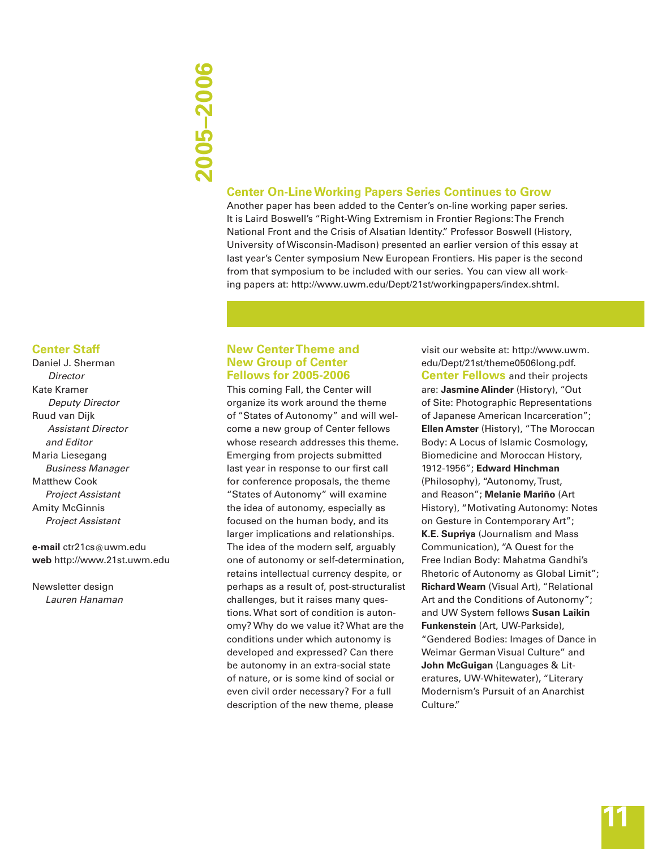# **2005–2006** 2005-2006

### **Center On-Line Working Papers Series Continues to Grow**

Another paper has been added to the Center's on-line working paper series. It is Laird Boswell's "Right-Wing Extremism in Frontier Regions: The French National Front and the Crisis of Alsatian Identity." Professor Boswell (History, University of Wisconsin-Madison) presented an earlier version of this essay at last year's Center symposium New European Frontiers. His paper is the second from that symposium to be included with our series. You can view all working papers at: http://www.uwm.edu/Dept/21st/workingpapers/index.shtml.

### **Center Staff**

Daniel J. Sherman  *Director* Kate Kramer  *Deputy Director* Ruud van Dijk  *Assistant Director and Editor* Maria Liesegang *Business Manager* Matthew Cook *Project Assistant* Amity McGinnis *Project Assistant*

#### **e-mail** ctr21cs@uwm.edu **web** http://www.21st.uwm.edu

Newsletter design *Lauren Hanaman*

### **New Center Theme and New Group of Center Fellows for 2005-2006**

This coming Fall, the Center will organize its work around the theme of "States of Autonomy" and will welcome a new group of Center fellows whose research addresses this theme. Emerging from projects submitted last year in response to our first call for conference proposals, the theme "States of Autonomy" will examine the idea of autonomy, especially as focused on the human body, and its larger implications and relationships. The idea of the modern self, arguably one of autonomy or self-determination, retains intellectual currency despite, or perhaps as a result of, post-structuralist challenges, but it raises many questions. What sort of condition is autonomy? Why do we value it? What are the conditions under which autonomy is developed and expressed? Can there be autonomy in an extra-social state of nature, or is some kind of social or even civil order necessary? For a full description of the new theme, please

visit our website at: http://www.uwm. edu/Dept/21st/theme0506long.pdf. **Center Fellows** and their projects are: **Jasmine Alinder** (History), "Out of Site: Photographic Representations of Japanese American Incarceration"; **Ellen Amster** (History), "The Moroccan Body: A Locus of Islamic Cosmology, Biomedicine and Moroccan History, 1912-1956"; **Edward Hinchman** (Philosophy), "Autonomy, Trust, and Reason"; **Melanie Mariño** (Art History), "Motivating Autonomy: Notes on Gesture in Contemporary Art"; **K.E. Supriya** (Journalism and Mass Communication), "A Quest for the Free Indian Body: Mahatma Gandhi's Rhetoric of Autonomy as Global Limit"; **Richard Wearn** (Visual Art), "Relational Art and the Conditions of Autonomy"; and UW System fellows **Susan Laikin Funkenstein** (Art, UW-Parkside), "Gendered Bodies: Images of Dance in Weimar German Visual Culture" and **John McGuigan** (Languages & Literatures, UW-Whitewater), "Literary Modernism's Pursuit of an Anarchist Culture."